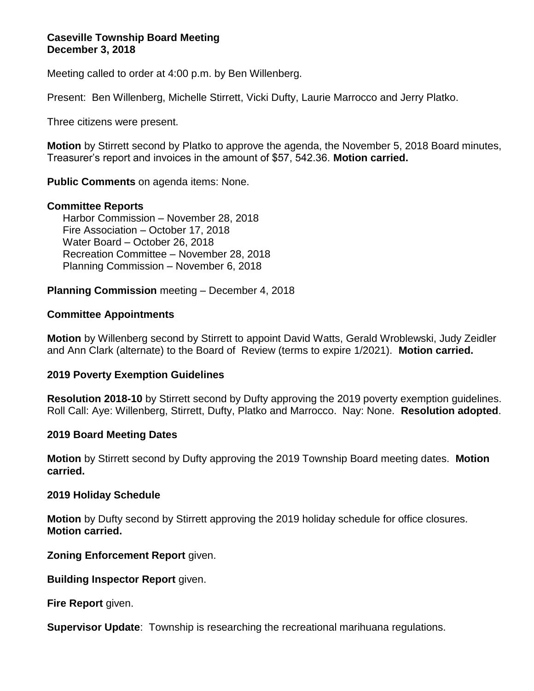## **Caseville Township Board Meeting December 3, 2018**

Meeting called to order at 4:00 p.m. by Ben Willenberg.

Present: Ben Willenberg, Michelle Stirrett, Vicki Dufty, Laurie Marrocco and Jerry Platko.

Three citizens were present.

**Motion** by Stirrett second by Platko to approve the agenda, the November 5, 2018 Board minutes, Treasurer's report and invoices in the amount of \$57, 542.36. **Motion carried.**

**Public Comments** on agenda items: None.

## **Committee Reports**

Harbor Commission – November 28, 2018 Fire Association – October 17, 2018 Water Board – October 26, 2018 Recreation Committee – November 28, 2018 Planning Commission – November 6, 2018

**Planning Commission** meeting – December 4, 2018

## **Committee Appointments**

**Motion** by Willenberg second by Stirrett to appoint David Watts, Gerald Wroblewski, Judy Zeidler and Ann Clark (alternate) to the Board of Review (terms to expire 1/2021). **Motion carried.**

#### **2019 Poverty Exemption Guidelines**

**Resolution 2018-10** by Stirrett second by Dufty approving the 2019 poverty exemption guidelines. Roll Call: Aye: Willenberg, Stirrett, Dufty, Platko and Marrocco. Nay: None. **Resolution adopted**.

#### **2019 Board Meeting Dates**

**Motion** by Stirrett second by Dufty approving the 2019 Township Board meeting dates. **Motion carried.**

#### **2019 Holiday Schedule**

**Motion** by Dufty second by Stirrett approving the 2019 holiday schedule for office closures. **Motion carried.**

**Zoning Enforcement Report** given.

**Building Inspector Report** given.

**Fire Report** given.

**Supervisor Update**: Township is researching the recreational marihuana regulations.